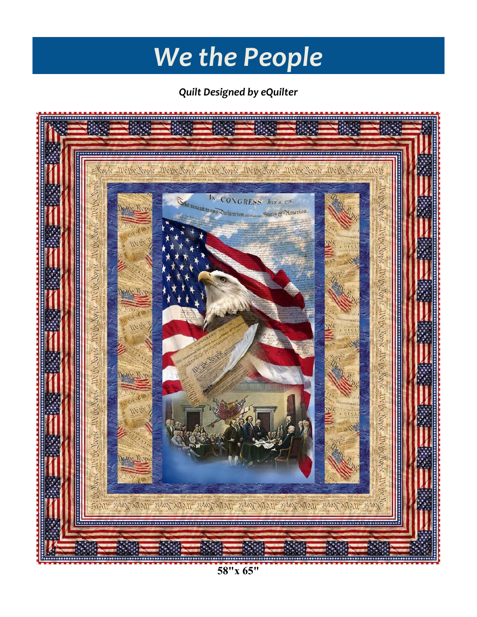# *We the People*

*Quilt Designed by eQuilter*



**58"x 65"**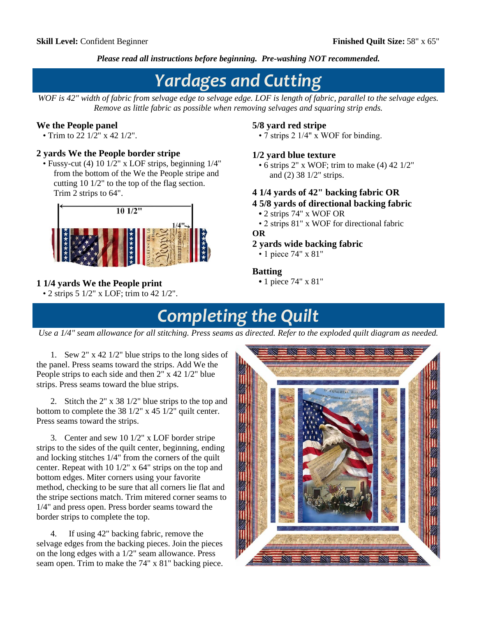*Please read all instructions before beginning. Pre-washing NOT recommended.*

# *Yardages and Cutting*

*WOF is 42" width of fabric from selvage edge to selvage edge. LOF is length of fabric, parallel to the selvage edges. Remove as little fabric as possible when removing selvages and squaring strip ends.*

### **We the People panel**

• Trim to 22  $1/2$ " x 42  $1/2$ ".

#### **2 yards We the People border stripe**

 • Fussy-cut (4) 10 1/2" x LOF strips, beginning 1/4" from the bottom of the We the People stripe and cutting 10 1/2" to the top of the flag section. Trim 2 strips to 64".



### **1 1/4 yards We the People print**

• 2 strips  $5 \frac{1}{2}$ " x LOF; trim to 42  $\frac{1}{2}$ ".

#### **5/8 yard red stripe**

• 7 strips 2 1/4" x WOF for binding.

#### **1/2 yard blue texture**

• 6 strips 2" x WOF; trim to make (4) 42 1/2" and (2) 38 1/2" strips.

#### **4 1/4 yards of 42" backing fabric OR**

- **4 5/8 yards of directional backing fabric**
- 2 strips 74" x WOF OR
- 2 strips 81" x WOF for directional fabric

#### **OR**

#### **2 yards wide backing fabric**

• 1 piece 74" x 81"

#### **Batting**

 **•** 1 piece 74" x 81"

## *Completing the Quilt*

*Use a 1/4" seam allowance for all stitching. Press seams as directed. Refer to the exploded quilt diagram as needed.*

1. Sew 2" x 42 1/2" blue strips to the long sides of the panel. Press seams toward the strips. Add We the People strips to each side and then 2" x 42 1/2" blue strips. Press seams toward the blue strips.

2. Stitch the 2" x 38 1/2" blue strips to the top and bottom to complete the 38 1/2" x 45 1/2" quilt center. Press seams toward the strips.

3. Center and sew 10 1/2" x LOF border stripe strips to the sides of the quilt center, beginning, ending and locking stitches 1/4" from the corners of the quilt center. Repeat with 10 1/2" x 64" strips on the top and bottom edges. Miter corners using your favorite method, checking to be sure that all corners lie flat and the stripe sections match. Trim mitered corner seams to 1/4" and press open. Press border seams toward the border strips to complete the top.

4. If using 42" backing fabric, remove the selvage edges from the backing pieces. Join the pieces on the long edges with a 1/2" seam allowance. Press seam open. Trim to make the 74" x 81" backing piece.